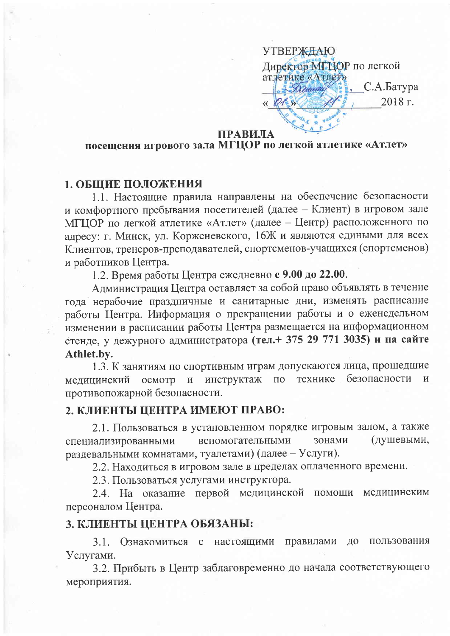**УТВЕРЖДАЮ** Директор МГЦОР по легкой атлетике «Атлет» С.А.Батура 2018 г.

#### ПРАВИЛА

# посещения игрового зала МГЦОР по легкой атлетике «Атлет»

### 1. ОБЩИЕ ПОЛОЖЕНИЯ

1.1. Настоящие правила направлены на обеспечение безопасности и комфортного пребывания посетителей (далее - Клиент) в игровом зале МГЦОР по легкой атлетике «Атлет» (далее - Центр) расположенного по адресу: г. Минск, ул. Корженевского, 16Ж и являются едиными для всех Клиентов, тренеров-преподавателей, спортсменов-учащихся (спортсменов) и работников Центра.

1.2. Время работы Центра ежедневно с 9.00 до 22.00.

Администрация Центра оставляет за собой право объявлять в течение года нерабочие праздничные и санитарные дни, изменять расписание работы Центра. Информация о прекращении работы и о еженедельном изменении в расписании работы Центра размещается на информационном стенде, у дежурного администратора (тел.+ 375 29 771 3035) и на сайте Athlet.by.

1.3. К занятиям по спортивным играм допускаются лица, прошедшие безопасности инструктаж  $\overline{M}$ медицинский осмотр  $\mathbf{M}$  $\Pi$ <sup>O</sup> технике противопожарной безопасности.

## 2. КЛИЕНТЫ ЦЕНТРА ИМЕЮТ ПРАВО:

2.1. Пользоваться в установленном порядке игровым залом, а также (душевыми, вспомогательными зонами специализированными раздевальными комнатами, туалетами) (далее - Услуги).

2.2. Находиться в игровом зале в пределах оплаченного времени.

2.3. Пользоваться услугами инструктора.

2.4. На оказание первой медицинской помощи медицинским персоналом Центра.

### 3. КЛИЕНТЫ ЦЕНТРА ОБЯЗАНЫ:

3.1. Ознакомиться с настоящими правилами ДО пользования Услугами.

3.2. Прибыть в Центр заблаговременно до начала соответствующего мероприятия.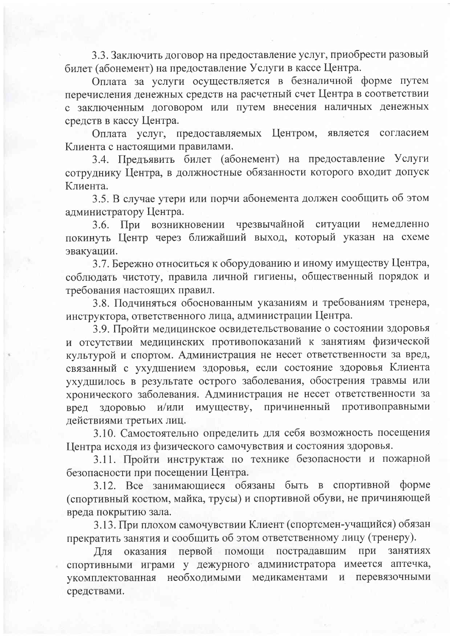3.3. Заключить договор на предоставление услуг, приобрести разовый билет (абонемент) на предоставление Услуги в кассе Центра.

Оплата за услуги осуществляется в безналичной форме путем перечисления денежных средств на расчетный счет Центра в соответствии с заключенным договором или путем внесения наличных денежных средств в кассу Центра.

Оплата услуг, предоставляемых Центром, является согласием Клиента с настоящими правилами.

3.4. Предъявить билет (абонемент) на предоставление Услуги сотруднику Центра, в должностные обязанности которого входит допуск Клиента.

3.5. В случае утери или порчи абонемента должен сообщить об этом администратору Центра.

3.6. При возникновении чрезвычайной ситуации немедленно покинуть Центр через ближайший выход, который указан на схеме эвакуации.

3.7. Бережно относиться к оборудованию и иному имуществу Центра, соблюдать чистоту, правила личной гигиены, общественный порядок и требования настоящих правил.

3.8. Подчиняться обоснованным указаниям и требованиям тренера, инструктора, ответственного лица, администрации Центра.

3.9. Пройти медицинское освидетельствование о состоянии здоровья и отсутствии медицинских противопоказаний к занятиям физической культурой и спортом. Администрация не несет ответственности за вред, связанный с ухудшением здоровья, если состояние здоровья Клиента ухудшилось в результате острого заболевания, обострения травмы или хронического заболевания. Администрация не несет ответственности за имуществу, причиненный противоправными здоровью и/или вред действиями третьих лиц.

3.10. Самостоятельно определить для себя возможность посещения Центра исходя из физического самочувствия и состояния здоровья.

3.11. Пройти инструктаж по технике безопасности и пожарной безопасности при посещении Центра.

3.12. Все занимающиеся обязаны быть в спортивной форме (спортивный костюм, майка, трусы) и спортивной обуви, не причиняющей вреда покрытию зала.

3.13. При плохом самочувствии Клиент (спортсмен-учащийся) обязан прекратить занятия и сообщить об этом ответственному лицу (тренеру).

Для оказания первой помощи пострадавшим при занятиях спортивными играми у дежурного администратора имеется аптечка, укомплектованная необходимыми медикаментами и перевязочными средствами.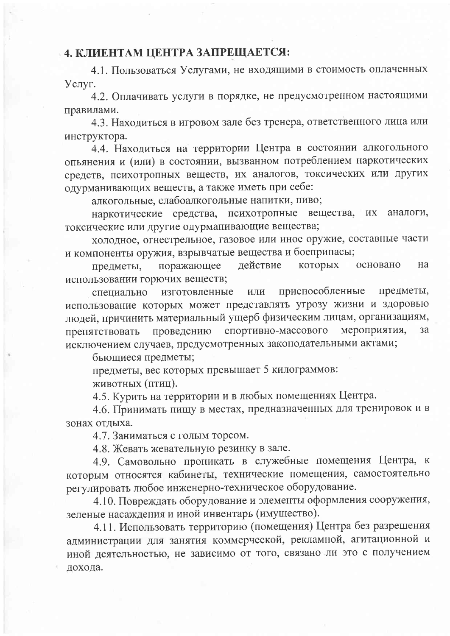## 4. КЛИЕНТАМ ЦЕНТРА ЗАПРЕЩАЕТСЯ:

4.1. Пользоваться Услугами, не входящими в стоимость оплаченных Услуг.

4.2. Оплачивать услуги в порядке, не предусмотренном настоящими правилами.

4.3. Находиться в игровом зале без тренера, ответственного лица или инструктора.

4.4. Находиться на территории Центра в состоянии алкогольного опьянения и (или) в состоянии, вызванном потреблением наркотических средств, психотропных веществ, их аналогов, токсических или других одурманивающих веществ, а также иметь при себе:

алкогольные, слабоалкогольные напитки, пиво;

наркотические средства, психотропные вещества, ИХ аналоги, токсические или другие одурманивающие вещества;

холодное, огнестрельное, газовое или иное оружие, составные части и компоненты оружия, взрывчатые вещества и боеприпасы;

действие которых поражающее основано Ha предметы, использовании горючих веществ;

приспособленные предметы, изготовленные ИЛИ специально использование которых может представлять угрозу жизни и здоровью людей, причинить материальный ущерб физическим лицам, организациям, спортивно-массового мероприятия, проведению  $3a$ препятствовать исключением случаев, предусмотренных законодательными актами;

бьющиеся предметы;

предметы, вес которых превышает 5 килограммов:

животных (птиц).

4.5. Курить на территории и в любых помещениях Центра.

4.6. Принимать пищу в местах, предназначенных для тренировок и в зонах отдыха.

4.7. Заниматься с голым торсом.

4.8. Жевать жевательную резинку в зале.

4.9. Самовольно проникать в служебные помещения Центра, к которым относятся кабинеты, технические помещения, самостоятельно регулировать любое инженерно-техническое оборудование.

4.10. Повреждать оборудование и элементы оформления сооружения, зеленые насаждения и иной инвентарь (имущество).

4.11. Использовать территорию (помещения) Центра без разрешения администрации для занятия коммерческой, рекламной, агитационной и иной деятельностью, не зависимо от того, связано ли это с получением дохода.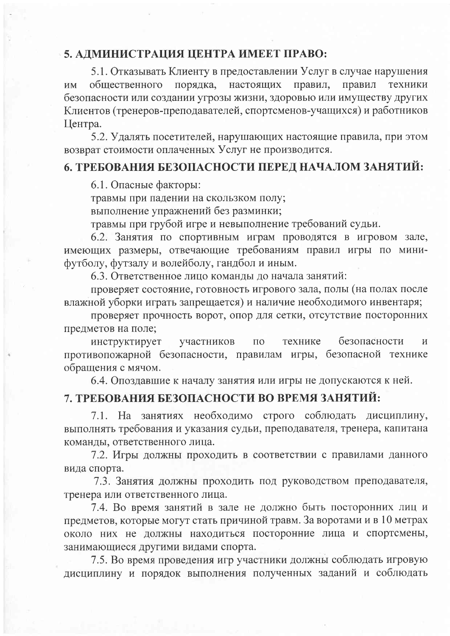## 5. АДМИНИСТРАЦИЯ ЦЕНТРА ИМЕЕТ ПРАВО:

5.1. Отказывать Клиенту в предоставлении Услуг в случае нарушения правил порядка, настоящих правил, техники **HM** общественного безопасности или создании угрозы жизни, здоровью или имуществу других Клиентов (тренеров-преподавателей, спортсменов-учащихся) и работников Центра.

5.2. Удалять посетителей, нарушающих настоящие правила, при этом возврат стоимости оплаченных Услуг не производится.

### 6. ТРЕБОВАНИЯ БЕЗОПАСНОСТИ ПЕРЕД НАЧАЛОМ ЗАНЯТИЙ:

6.1. Опасные факторы:

травмы при падении на скользком полу;

выполнение упражнений без разминки;

травмы при грубой игре и невыполнение требований судьи.

6.2. Занятия по спортивным играм проводятся в игровом зале, имеющих размеры, отвечающие требованиям правил игры по минифутболу, футзалу и волейболу, гандбол и иным.

6.3. Ответственное лицо команды до начала занятий:

проверяет состояние, готовность игрового зала, полы (на полах после влажной уборки играть запрещается) и наличие необходимого инвентаря;

проверяет прочность ворот, опор для сетки, отсутствие посторонних предметов на поле;

безопасности инструктирует участников  $\Pi$ <sup>O</sup> технике  $\overline{M}$ противопожарной безопасности, правилам игры, безопасной технике обращения с мячом.

6.4. Опоздавшие к началу занятия или игры не допускаются к ней.

# 7. ТРЕБОВАНИЯ БЕЗОПАСНОСТИ ВО ВРЕМЯ ЗАНЯТИЙ:

7.1. На занятиях необходимо строго соблюдать дисциплину, выполнять требования и указания судьи, преподавателя, тренера, капитана команды, ответственного лица.

7.2. Игры должны проходить в соответствии с правилами данного вида спорта.

7.3. Занятия должны проходить под руководством преподавателя, тренера или ответственного лица.

7.4. Во время занятий в зале не должно быть посторонних лиц и предметов, которые могут стать причиной травм. За воротами и в 10 метрах около них не должны находиться посторонние лица и спортсмены, занимающиеся другими видами спорта.

7.5. Во время проведения игр участники должны соблюдать игровую дисциплину и порядок выполнения полученных заданий и соблюдать